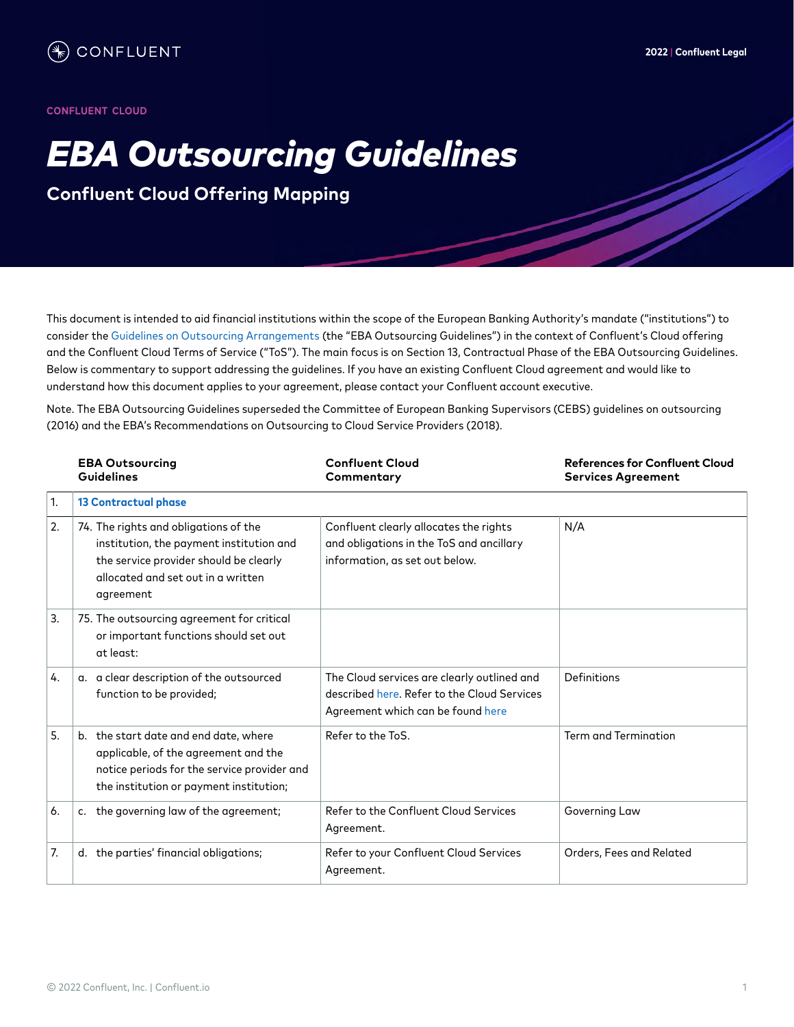## **CONFLUENT CLOUD**

## *EBA Outsourcing Guidelines*

**Confluent Cloud Offering Mapping**

This document is intended to aid financial institutions within the scope of the European Banking Authority's mandate ("institutions") to consider the [Guidelines on Outsourcing Arrangements](https://www.eba.europa.eu/documents/10180/2551996/EBA%2Brevised%2BGuidelines%2Bon%2Boutsourcing%2Barrangements) (the "EBA Outsourcing Guidelines") in the context of Confluent's Cloud offering and the Confluent Cloud Terms of Service ("ToS"). The main focus is on Section 13, Contractual Phase of the EBA Outsourcing Guidelines. Below is commentary to support addressing the guidelines. If you have an existing Confluent Cloud agreement and would like to understand how this document applies to your agreement, please contact your Confluent account executive.

Note. The EBA Outsourcing Guidelines superseded the Committee of European Banking Supervisors (CEBS) guidelines on outsourcing (2016) and the EBA's Recommendations on Outsourcing to Cloud Service Providers (2018).

|    | <b>EBA Outsourcing</b><br><b>Guidelines</b>                                                                                                                                    | <b>Confluent Cloud</b><br>Commentary                                                                                            | <b>References for Confluent Cloud</b><br><b>Services Agreement</b> |
|----|--------------------------------------------------------------------------------------------------------------------------------------------------------------------------------|---------------------------------------------------------------------------------------------------------------------------------|--------------------------------------------------------------------|
| 1. | <b>13 Contractual phase</b>                                                                                                                                                    |                                                                                                                                 |                                                                    |
| 2. | 74. The rights and obligations of the<br>institution, the payment institution and<br>the service provider should be clearly<br>allocated and set out in a written<br>agreement | Confluent clearly allocates the rights<br>and obligations in the ToS and ancillary<br>information, as set out below.            | N/A                                                                |
| 3. | 75. The outsourcing agreement for critical<br>or important functions should set out<br>at least:                                                                               |                                                                                                                                 |                                                                    |
| 4. | a. a clear description of the outsourced<br>function to be provided;                                                                                                           | The Cloud services are clearly outlined and<br>described here. Refer to the Cloud Services<br>Agreement which can be found here | Definitions                                                        |
| 5. | b. the start date and end date, where<br>applicable, of the agreement and the<br>notice periods for the service provider and<br>the institution or payment institution;        | Refer to the ToS.                                                                                                               | <b>Term and Termination</b>                                        |
| 6. | c. the governing law of the agreement;                                                                                                                                         | Refer to the Confluent Cloud Services<br>Agreement.                                                                             | Governing Law                                                      |
| 7. | d. the parties' financial obligations;                                                                                                                                         | Refer to your Confluent Cloud Services<br>Agreement.                                                                            | Orders, Fees and Related                                           |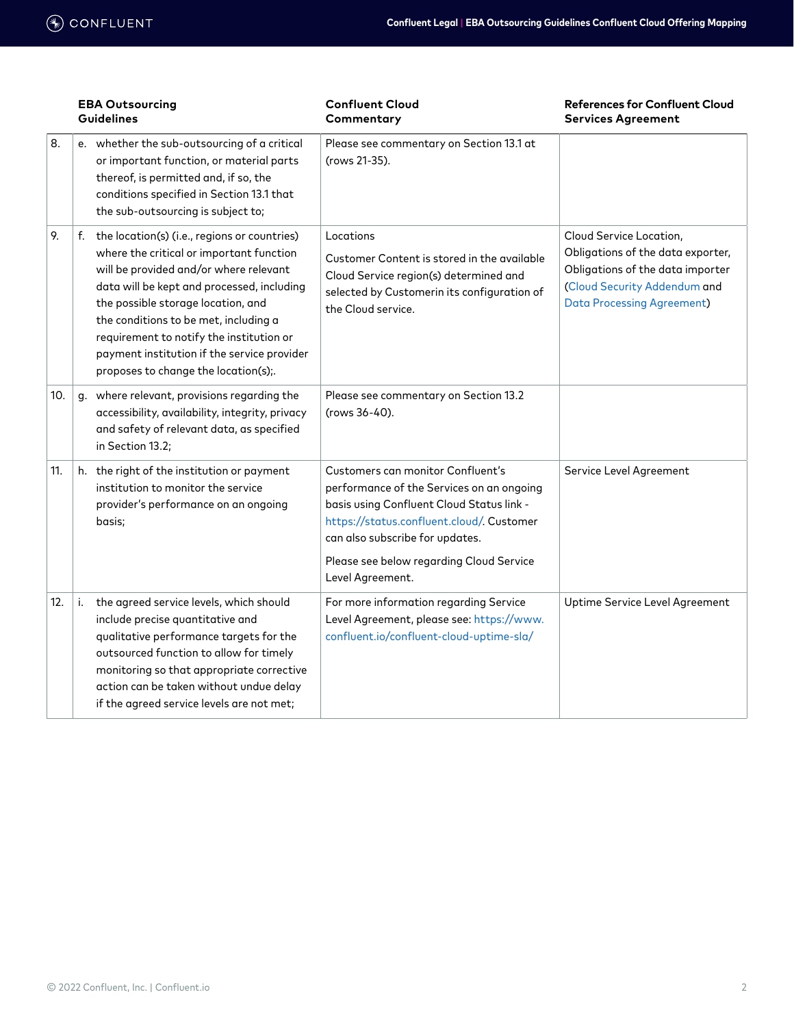|     |    | <b>EBA Outsourcing</b><br><b>Guidelines</b>                                                                                                                                                                                                                                                                                                                                                           | <b>Confluent Cloud</b><br>Commentary                                                                                                                                                                                                                                               | <b>References for Confluent Cloud</b><br><b>Services Agreement</b>                                                                                                    |
|-----|----|-------------------------------------------------------------------------------------------------------------------------------------------------------------------------------------------------------------------------------------------------------------------------------------------------------------------------------------------------------------------------------------------------------|------------------------------------------------------------------------------------------------------------------------------------------------------------------------------------------------------------------------------------------------------------------------------------|-----------------------------------------------------------------------------------------------------------------------------------------------------------------------|
| 8.  |    | e. whether the sub-outsourcing of a critical<br>or important function, or material parts<br>thereof, is permitted and, if so, the<br>conditions specified in Section 13.1 that<br>the sub-outsourcing is subject to;                                                                                                                                                                                  | Please see commentary on Section 13.1 at<br>(rows 21-35).                                                                                                                                                                                                                          |                                                                                                                                                                       |
| 9.  |    | f. the location(s) (i.e., regions or countries)<br>where the critical or important function<br>will be provided and/or where relevant<br>data will be kept and processed, including<br>the possible storage location, and<br>the conditions to be met, including a<br>requirement to notify the institution or<br>payment institution if the service provider<br>proposes to change the location(s);. | Locations<br>Customer Content is stored in the available<br>Cloud Service region(s) determined and<br>selected by Customerin its configuration of<br>the Cloud service.                                                                                                            | Cloud Service Location,<br>Obligations of the data exporter,<br>Obligations of the data importer<br>(Cloud Security Addendum and<br><b>Data Processing Agreement)</b> |
| 10. |    | g. where relevant, provisions regarding the<br>accessibility, availability, integrity, privacy<br>and safety of relevant data, as specified<br>in Section 13.2;                                                                                                                                                                                                                                       | Please see commentary on Section 13.2<br>(rows 36-40).                                                                                                                                                                                                                             |                                                                                                                                                                       |
| 11. |    | h. the right of the institution or payment<br>institution to monitor the service<br>provider's performance on an ongoing<br>basis;                                                                                                                                                                                                                                                                    | <b>Customers can monitor Confluent's</b><br>performance of the Services on an ongoing<br>basis using Confluent Cloud Status link -<br>https://status.confluent.cloud/. Customer<br>can also subscribe for updates.<br>Please see below regarding Cloud Service<br>Level Agreement. | Service Level Agreement                                                                                                                                               |
| 12. | i. | the agreed service levels, which should<br>include precise quantitative and<br>qualitative performance targets for the<br>outsourced function to allow for timely<br>monitoring so that appropriate corrective<br>action can be taken without undue delay<br>if the agreed service levels are not met;                                                                                                | For more information regarding Service<br>Level Agreement, please see: https://www.<br>confluent.io/confluent-cloud-uptime-sla/                                                                                                                                                    | Uptime Service Level Agreement                                                                                                                                        |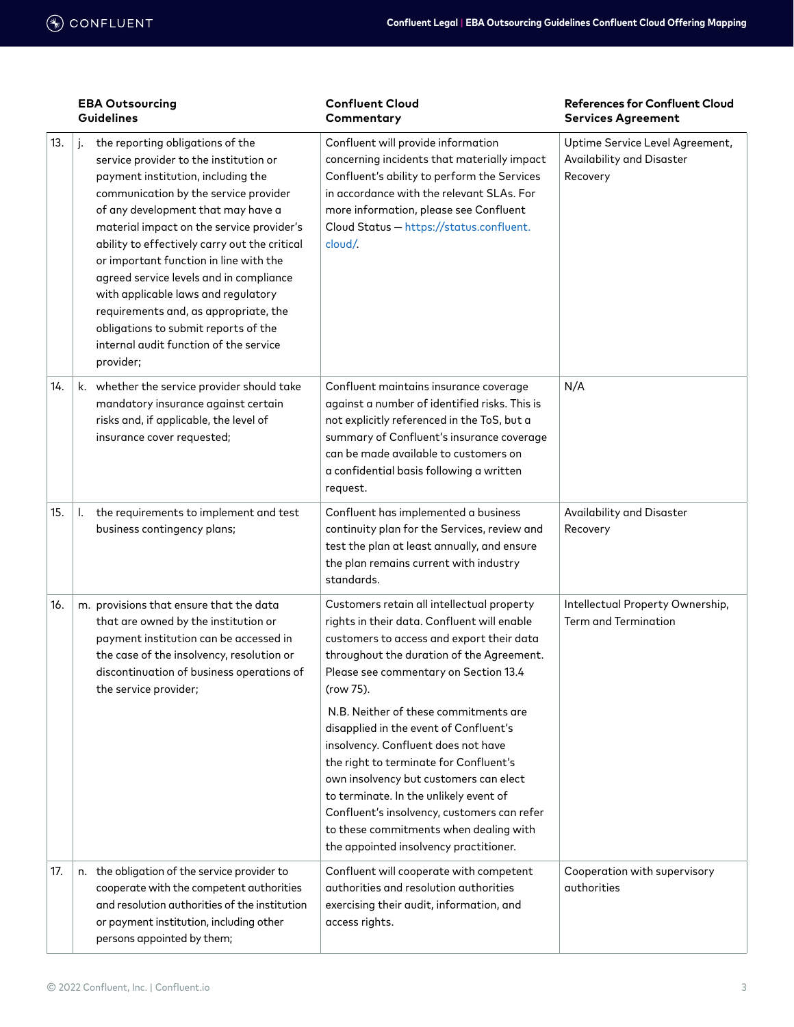|     |    | <b>EBA Outsourcing</b><br><b>Guidelines</b>                                                                                                                                                                                                                                                                                                                                                                                                                                                                                                                       | <b>Confluent Cloud</b><br>Commentary                                                                                                                                                                                                                                                                                                                                                                                                                                                                                                                                                                                                 | <b>References for Confluent Cloud</b><br><b>Services Agreement</b>       |
|-----|----|-------------------------------------------------------------------------------------------------------------------------------------------------------------------------------------------------------------------------------------------------------------------------------------------------------------------------------------------------------------------------------------------------------------------------------------------------------------------------------------------------------------------------------------------------------------------|--------------------------------------------------------------------------------------------------------------------------------------------------------------------------------------------------------------------------------------------------------------------------------------------------------------------------------------------------------------------------------------------------------------------------------------------------------------------------------------------------------------------------------------------------------------------------------------------------------------------------------------|--------------------------------------------------------------------------|
| 13. | j. | the reporting obligations of the<br>service provider to the institution or<br>payment institution, including the<br>communication by the service provider<br>of any development that may have a<br>material impact on the service provider's<br>ability to effectively carry out the critical<br>or important function in line with the<br>agreed service levels and in compliance<br>with applicable laws and regulatory<br>requirements and, as appropriate, the<br>obligations to submit reports of the<br>internal audit function of the service<br>provider; | Confluent will provide information<br>concerning incidents that materially impact<br>Confluent's ability to perform the Services<br>in accordance with the relevant SLAs. For<br>more information, please see Confluent<br>Cloud Status - https://status.confluent.<br>cloud/.                                                                                                                                                                                                                                                                                                                                                       | Uptime Service Level Agreement,<br>Availability and Disaster<br>Recovery |
| 14. |    | k. whether the service provider should take<br>mandatory insurance against certain<br>risks and, if applicable, the level of<br>insurance cover requested;                                                                                                                                                                                                                                                                                                                                                                                                        | Confluent maintains insurance coverage<br>against a number of identified risks. This is<br>not explicitly referenced in the ToS, but a<br>summary of Confluent's insurance coverage<br>can be made available to customers on<br>a confidential basis following a written<br>request.                                                                                                                                                                                                                                                                                                                                                 | N/A                                                                      |
| 15. | I. | the requirements to implement and test<br>business contingency plans;                                                                                                                                                                                                                                                                                                                                                                                                                                                                                             | Confluent has implemented a business<br>continuity plan for the Services, review and<br>test the plan at least annually, and ensure<br>the plan remains current with industry<br>standards.                                                                                                                                                                                                                                                                                                                                                                                                                                          | Availability and Disaster<br>Recovery                                    |
| 16. |    | m. provisions that ensure that the data<br>that are owned by the institution or<br>payment institution can be accessed in<br>the case of the insolvency, resolution or<br>discontinuation of business operations of<br>the service provider;                                                                                                                                                                                                                                                                                                                      | Customers retain all intellectual property<br>rights in their data. Confluent will enable<br>customers to access and export their data<br>throughout the duration of the Agreement.<br>Please see commentary on Section 13.4<br>(row 75).<br>N.B. Neither of these commitments are<br>disapplied in the event of Confluent's<br>insolvency. Confluent does not have<br>the right to terminate for Confluent's<br>own insolvency but customers can elect<br>to terminate. In the unlikely event of<br>Confluent's insolvency, customers can refer<br>to these commitments when dealing with<br>the appointed insolvency practitioner. | Intellectual Property Ownership,<br><b>Term and Termination</b>          |
| 17. |    | n. the obligation of the service provider to<br>cooperate with the competent authorities<br>and resolution authorities of the institution<br>or payment institution, including other<br>persons appointed by them;                                                                                                                                                                                                                                                                                                                                                | Confluent will cooperate with competent<br>authorities and resolution authorities<br>exercising their audit, information, and<br>access rights.                                                                                                                                                                                                                                                                                                                                                                                                                                                                                      | Cooperation with supervisory<br>authorities                              |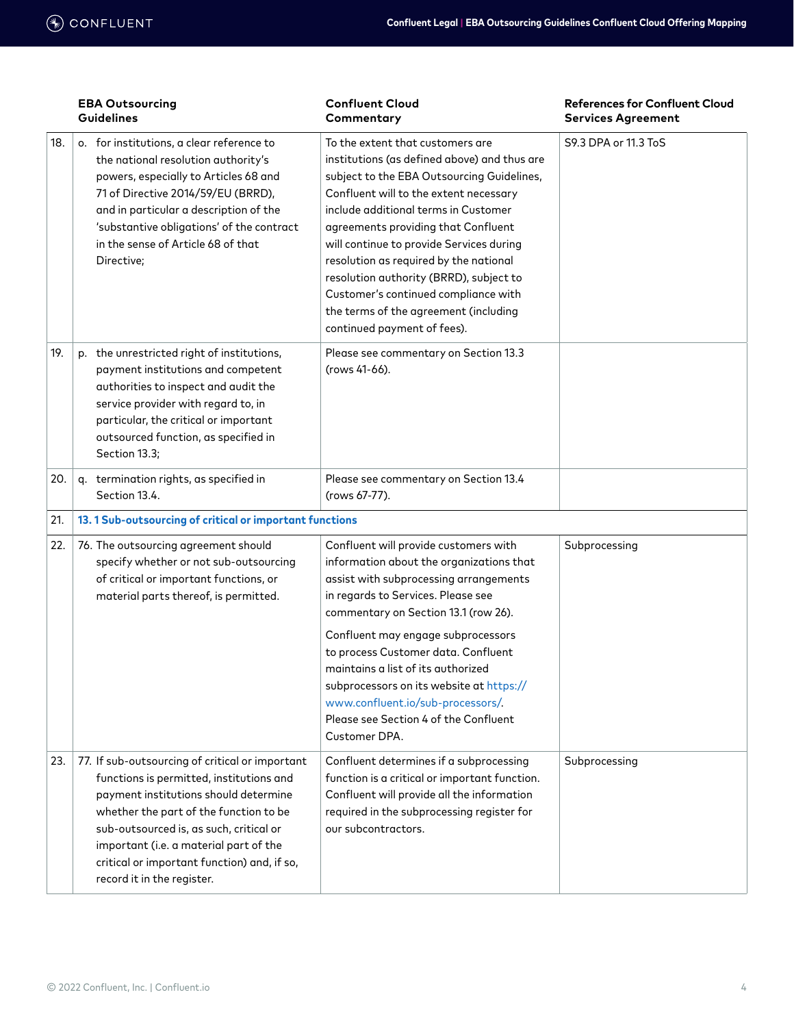|     | <b>EBA Outsourcing</b><br><b>Guidelines</b>                                                                                                                                                                                                                                                                                                      | <b>Confluent Cloud</b><br>Commentary                                                                                                                                                                                                                                                                                                                                                                                                                                                                     | <b>References for Confluent Cloud</b><br><b>Services Agreement</b> |
|-----|--------------------------------------------------------------------------------------------------------------------------------------------------------------------------------------------------------------------------------------------------------------------------------------------------------------------------------------------------|----------------------------------------------------------------------------------------------------------------------------------------------------------------------------------------------------------------------------------------------------------------------------------------------------------------------------------------------------------------------------------------------------------------------------------------------------------------------------------------------------------|--------------------------------------------------------------------|
| 18. | o. for institutions, a clear reference to<br>the national resolution authority's<br>powers, especially to Articles 68 and<br>71 of Directive 2014/59/EU (BRRD),<br>and in particular a description of the<br>'substantive obligations' of the contract<br>in the sense of Article 68 of that<br>Directive;                                       | To the extent that customers are<br>institutions (as defined above) and thus are<br>subject to the EBA Outsourcing Guidelines,<br>Confluent will to the extent necessary<br>include additional terms in Customer<br>agreements providing that Confluent<br>will continue to provide Services during<br>resolution as required by the national<br>resolution authority (BRRD), subject to<br>Customer's continued compliance with<br>the terms of the agreement (including<br>continued payment of fees). | S9.3 DPA or 11.3 ToS                                               |
| 19. | p. the unrestricted right of institutions,<br>payment institutions and competent<br>authorities to inspect and audit the<br>service provider with regard to, in<br>particular, the critical or important<br>outsourced function, as specified in<br>Section 13.3;                                                                                | Please see commentary on Section 13.3<br>(rows 41-66).                                                                                                                                                                                                                                                                                                                                                                                                                                                   |                                                                    |
| 20. | q. termination rights, as specified in<br>Section 13.4.                                                                                                                                                                                                                                                                                          | Please see commentary on Section 13.4<br>(rows 67-77).                                                                                                                                                                                                                                                                                                                                                                                                                                                   |                                                                    |
| 21. | 13.1 Sub-outsourcing of critical or important functions                                                                                                                                                                                                                                                                                          |                                                                                                                                                                                                                                                                                                                                                                                                                                                                                                          |                                                                    |
| 22. | 76. The outsourcing agreement should<br>specify whether or not sub-outsourcing<br>of critical or important functions, or<br>material parts thereof, is permitted.                                                                                                                                                                                | Confluent will provide customers with<br>information about the organizations that<br>assist with subprocessing arrangements<br>in regards to Services. Please see<br>commentary on Section 13.1 (row 26).<br>Confluent may engage subprocessors<br>to process Customer data. Confluent<br>maintains a list of its authorized<br>subprocessors on its website at https://<br>www.confluent.io/sub-processors/.<br>Please see Section 4 of the Confluent<br>Customer DPA.                                  | Subprocessing                                                      |
| 23. | 77. If sub-outsourcing of critical or important<br>functions is permitted, institutions and<br>payment institutions should determine<br>whether the part of the function to be<br>sub-outsourced is, as such, critical or<br>important (i.e. a material part of the<br>critical or important function) and, if so,<br>record it in the register. | Confluent determines if a subprocessing<br>function is a critical or important function.<br>Confluent will provide all the information<br>required in the subprocessing register for<br>our subcontractors.                                                                                                                                                                                                                                                                                              | Subprocessing                                                      |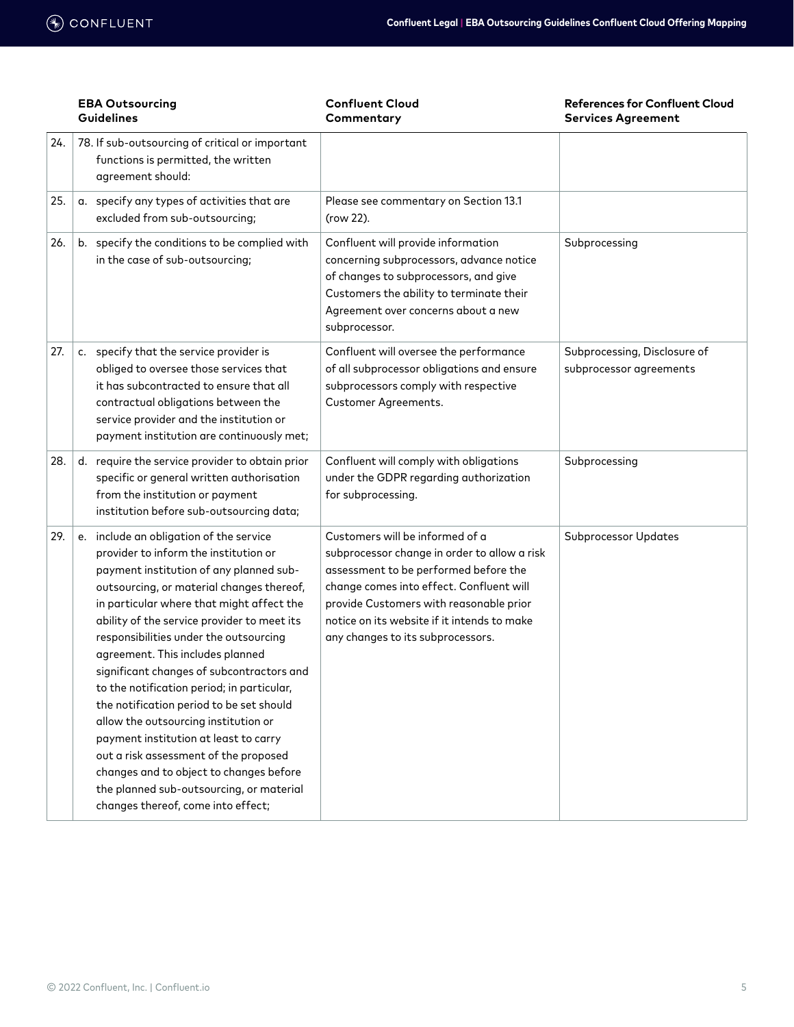|     | <b>EBA Outsourcing</b><br><b>Guidelines</b>                                                                                                                                                                                                                                                                                                                                                                                                                                                                                                                                                                                                                                                                                                         | <b>Confluent Cloud</b><br>Commentary                                                                                                                                                                                                                                                                | <b>References for Confluent Cloud</b><br><b>Services Agreement</b> |
|-----|-----------------------------------------------------------------------------------------------------------------------------------------------------------------------------------------------------------------------------------------------------------------------------------------------------------------------------------------------------------------------------------------------------------------------------------------------------------------------------------------------------------------------------------------------------------------------------------------------------------------------------------------------------------------------------------------------------------------------------------------------------|-----------------------------------------------------------------------------------------------------------------------------------------------------------------------------------------------------------------------------------------------------------------------------------------------------|--------------------------------------------------------------------|
| 24. | 78. If sub-outsourcing of critical or important<br>functions is permitted, the written<br>agreement should:                                                                                                                                                                                                                                                                                                                                                                                                                                                                                                                                                                                                                                         |                                                                                                                                                                                                                                                                                                     |                                                                    |
| 25. | a. specify any types of activities that are<br>excluded from sub-outsourcing;                                                                                                                                                                                                                                                                                                                                                                                                                                                                                                                                                                                                                                                                       | Please see commentary on Section 13.1<br>(row 22).                                                                                                                                                                                                                                                  |                                                                    |
| 26. | b. specify the conditions to be complied with<br>in the case of sub-outsourcing;                                                                                                                                                                                                                                                                                                                                                                                                                                                                                                                                                                                                                                                                    | Confluent will provide information<br>concerning subprocessors, advance notice<br>of changes to subprocessors, and give<br>Customers the ability to terminate their<br>Agreement over concerns about a new<br>subprocessor.                                                                         | Subprocessing                                                      |
| 27. | c. specify that the service provider is<br>obliged to oversee those services that<br>it has subcontracted to ensure that all<br>contractual obligations between the<br>service provider and the institution or<br>payment institution are continuously met;                                                                                                                                                                                                                                                                                                                                                                                                                                                                                         | Confluent will oversee the performance<br>of all subprocessor obligations and ensure<br>subprocessors comply with respective<br>Customer Agreements.                                                                                                                                                | Subprocessing, Disclosure of<br>subprocessor agreements            |
| 28. | d. require the service provider to obtain prior<br>specific or general written authorisation<br>from the institution or payment<br>institution before sub-outsourcing data;                                                                                                                                                                                                                                                                                                                                                                                                                                                                                                                                                                         | Confluent will comply with obligations<br>under the GDPR regarding authorization<br>for subprocessing.                                                                                                                                                                                              | Subprocessing                                                      |
| 29. | include an obligation of the service<br>e.<br>provider to inform the institution or<br>payment institution of any planned sub-<br>outsourcing, or material changes thereof,<br>in particular where that might affect the<br>ability of the service provider to meet its<br>responsibilities under the outsourcing<br>agreement. This includes planned<br>significant changes of subcontractors and<br>to the notification period; in particular,<br>the notification period to be set should<br>allow the outsourcing institution or<br>payment institution at least to carry<br>out a risk assessment of the proposed<br>changes and to object to changes before<br>the planned sub-outsourcing, or material<br>changes thereof, come into effect; | Customers will be informed of a<br>subprocessor change in order to allow a risk<br>assessment to be performed before the<br>change comes into effect. Confluent will<br>provide Customers with reasonable prior<br>notice on its website if it intends to make<br>any changes to its subprocessors. | <b>Subprocessor Updates</b>                                        |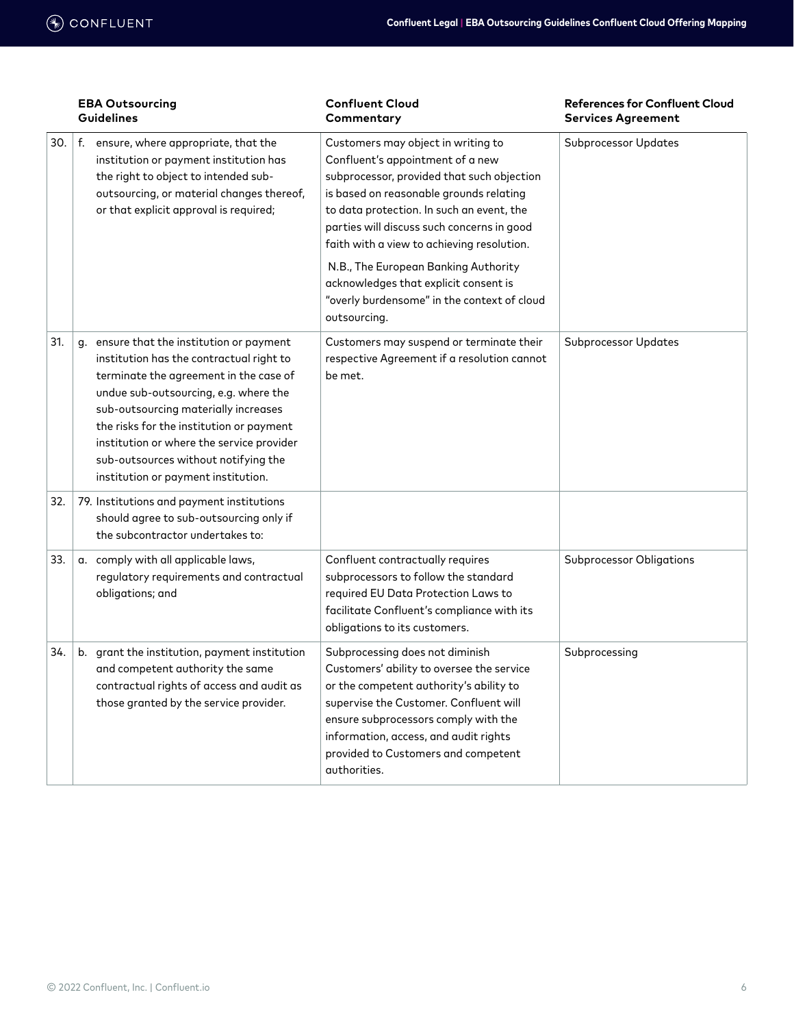|     |    | <b>EBA Outsourcing</b><br><b>Guidelines</b>                                                                                                                                                                                                                                                                                                                                              | <b>Confluent Cloud</b><br>Commentary                                                                                                                                                                                                                                                                                                                                                                                                                     | <b>References for Confluent Cloud</b><br><b>Services Agreement</b> |
|-----|----|------------------------------------------------------------------------------------------------------------------------------------------------------------------------------------------------------------------------------------------------------------------------------------------------------------------------------------------------------------------------------------------|----------------------------------------------------------------------------------------------------------------------------------------------------------------------------------------------------------------------------------------------------------------------------------------------------------------------------------------------------------------------------------------------------------------------------------------------------------|--------------------------------------------------------------------|
| 30. | f. | ensure, where appropriate, that the<br>institution or payment institution has<br>the right to object to intended sub-<br>outsourcing, or material changes thereof,<br>or that explicit approval is required;                                                                                                                                                                             | Customers may object in writing to<br>Confluent's appointment of a new<br>subprocessor, provided that such objection<br>is based on reasonable grounds relating<br>to data protection. In such an event, the<br>parties will discuss such concerns in good<br>faith with a view to achieving resolution.<br>N.B., The European Banking Authority<br>acknowledges that explicit consent is<br>"overly burdensome" in the context of cloud<br>outsourcing. | <b>Subprocessor Updates</b>                                        |
| 31. |    | g. ensure that the institution or payment<br>institution has the contractual right to<br>terminate the agreement in the case of<br>undue sub-outsourcing, e.g. where the<br>sub-outsourcing materially increases<br>the risks for the institution or payment<br>institution or where the service provider<br>sub-outsources without notifying the<br>institution or payment institution. | Customers may suspend or terminate their<br>respective Agreement if a resolution cannot<br>be met.                                                                                                                                                                                                                                                                                                                                                       | Subprocessor Updates                                               |
| 32. |    | 79. Institutions and payment institutions<br>should agree to sub-outsourcing only if<br>the subcontractor undertakes to:                                                                                                                                                                                                                                                                 |                                                                                                                                                                                                                                                                                                                                                                                                                                                          |                                                                    |
| 33. |    | a. comply with all applicable laws,<br>regulatory requirements and contractual<br>obligations; and                                                                                                                                                                                                                                                                                       | Confluent contractually requires<br>subprocessors to follow the standard<br>required EU Data Protection Laws to<br>facilitate Confluent's compliance with its<br>obligations to its customers.                                                                                                                                                                                                                                                           | <b>Subprocessor Obligations</b>                                    |
| 34. |    | b. grant the institution, payment institution<br>and competent authority the same<br>contractual rights of access and audit as<br>those granted by the service provider.                                                                                                                                                                                                                 | Subprocessing does not diminish<br>Customers' ability to oversee the service<br>or the competent authority's ability to<br>supervise the Customer. Confluent will<br>ensure subprocessors comply with the<br>information, access, and audit rights<br>provided to Customers and competent<br>authorities.                                                                                                                                                | Subprocessing                                                      |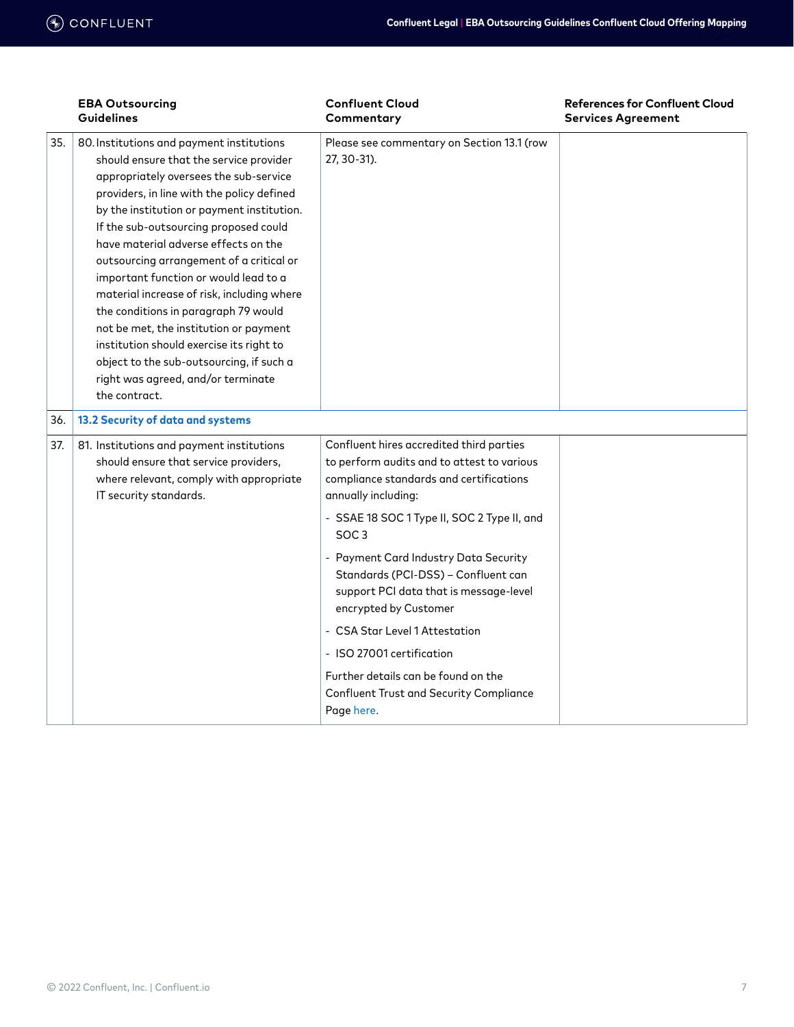|     | <b>EBA Outsourcing</b><br><b>Guidelines</b>                                                                                                                                                                                                                                                                                                                                                                                                                                                                                                                                                                                                                                     | <b>Confluent Cloud</b><br>Commentary                                                                                                                                                                                                                                                                                                                                                                                                                                                 | <b>References for Confluent Cloud</b><br><b>Services Agreement</b> |
|-----|---------------------------------------------------------------------------------------------------------------------------------------------------------------------------------------------------------------------------------------------------------------------------------------------------------------------------------------------------------------------------------------------------------------------------------------------------------------------------------------------------------------------------------------------------------------------------------------------------------------------------------------------------------------------------------|--------------------------------------------------------------------------------------------------------------------------------------------------------------------------------------------------------------------------------------------------------------------------------------------------------------------------------------------------------------------------------------------------------------------------------------------------------------------------------------|--------------------------------------------------------------------|
| 35. | 80. Institutions and payment institutions<br>should ensure that the service provider<br>appropriately oversees the sub-service<br>providers, in line with the policy defined<br>by the institution or payment institution.<br>If the sub-outsourcing proposed could<br>have material adverse effects on the<br>outsourcing arrangement of a critical or<br>important function or would lead to a<br>material increase of risk, including where<br>the conditions in paragraph 79 would<br>not be met, the institution or payment<br>institution should exercise its right to<br>object to the sub-outsourcing, if such a<br>right was agreed, and/or terminate<br>the contract. | Please see commentary on Section 13.1 (row<br>27, 30-31).                                                                                                                                                                                                                                                                                                                                                                                                                            |                                                                    |
| 36. | 13.2 Security of data and systems                                                                                                                                                                                                                                                                                                                                                                                                                                                                                                                                                                                                                                               |                                                                                                                                                                                                                                                                                                                                                                                                                                                                                      |                                                                    |
| 37. | 81. Institutions and payment institutions<br>should ensure that service providers,<br>where relevant, comply with appropriate<br>IT security standards.                                                                                                                                                                                                                                                                                                                                                                                                                                                                                                                         | Confluent hires accredited third parties<br>to perform audits and to attest to various<br>compliance standards and certifications<br>annually including:<br>- SSAE 18 SOC 1 Type II, SOC 2 Type II, and<br>SOC <sub>3</sub><br>- Payment Card Industry Data Security<br>Standards (PCI-DSS) - Confluent can<br>support PCI data that is message-level<br>encrypted by Customer<br>- CSA Star Level 1 Attestation<br>- ISO 27001 certification<br>Further details can be found on the |                                                                    |
|     |                                                                                                                                                                                                                                                                                                                                                                                                                                                                                                                                                                                                                                                                                 | <b>Confluent Trust and Security Compliance</b><br>Page here.                                                                                                                                                                                                                                                                                                                                                                                                                         |                                                                    |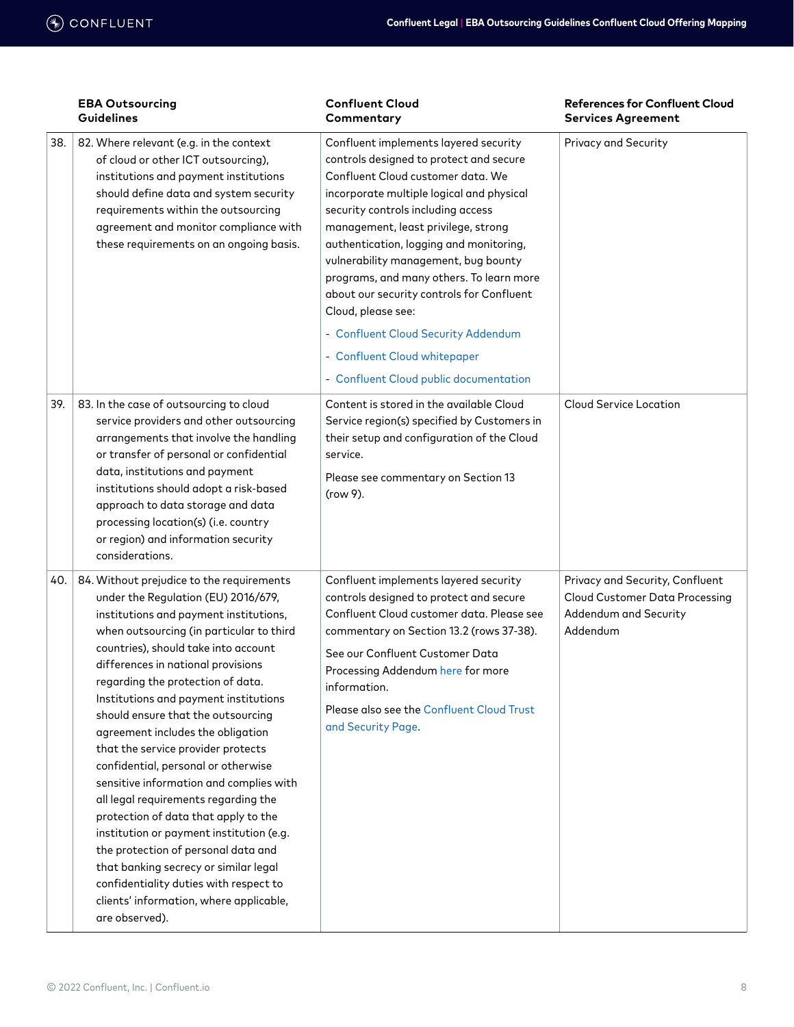|     | <b>EBA Outsourcing</b><br><b>Guidelines</b>                                                                                                                                                                                                                                                                                                                                                                                                                                                                                                                                                                                                                                                                                                                                                                                                              | <b>Confluent Cloud</b><br>Commentary                                                                                                                                                                                                                                                                                                                                                                                                                                                                                                                               | <b>References for Confluent Cloud</b><br><b>Services Agreement</b>                                            |
|-----|----------------------------------------------------------------------------------------------------------------------------------------------------------------------------------------------------------------------------------------------------------------------------------------------------------------------------------------------------------------------------------------------------------------------------------------------------------------------------------------------------------------------------------------------------------------------------------------------------------------------------------------------------------------------------------------------------------------------------------------------------------------------------------------------------------------------------------------------------------|--------------------------------------------------------------------------------------------------------------------------------------------------------------------------------------------------------------------------------------------------------------------------------------------------------------------------------------------------------------------------------------------------------------------------------------------------------------------------------------------------------------------------------------------------------------------|---------------------------------------------------------------------------------------------------------------|
| 38. | 82. Where relevant (e.g. in the context<br>of cloud or other ICT outsourcing),<br>institutions and payment institutions<br>should define data and system security<br>requirements within the outsourcing<br>agreement and monitor compliance with<br>these requirements on an ongoing basis.                                                                                                                                                                                                                                                                                                                                                                                                                                                                                                                                                             | Confluent implements layered security<br>controls designed to protect and secure<br>Confluent Cloud customer data. We<br>incorporate multiple logical and physical<br>security controls including access<br>management, least privilege, strong<br>authentication, logging and monitoring,<br>vulnerability management, bug bounty<br>programs, and many others. To learn more<br>about our security controls for Confluent<br>Cloud, please see:<br>- Confluent Cloud Security Addendum<br>- Confluent Cloud whitepaper<br>- Confluent Cloud public documentation | Privacy and Security                                                                                          |
| 39. | 83. In the case of outsourcing to cloud<br>service providers and other outsourcing<br>arrangements that involve the handling<br>or transfer of personal or confidential<br>data, institutions and payment<br>institutions should adopt a risk-based<br>approach to data storage and data<br>processing location(s) (i.e. country<br>or region) and information security<br>considerations.                                                                                                                                                                                                                                                                                                                                                                                                                                                               | Content is stored in the available Cloud<br>Service region(s) specified by Customers in<br>their setup and configuration of the Cloud<br>service.<br>Please see commentary on Section 13<br>(row 9).                                                                                                                                                                                                                                                                                                                                                               | Cloud Service Location                                                                                        |
| 40. | 84. Without prejudice to the requirements<br>under the Regulation (EU) 2016/679,<br>institutions and payment institutions,<br>when outsourcing (in particular to third<br>countries), should take into account<br>differences in national provisions<br>regarding the protection of data.<br>Institutions and payment institutions<br>should ensure that the outsourcing<br>agreement includes the obligation<br>that the service provider protects<br>confidential, personal or otherwise<br>sensitive information and complies with<br>all legal requirements regarding the<br>protection of data that apply to the<br>institution or payment institution (e.g.<br>the protection of personal data and<br>that banking secrecy or similar legal<br>confidentiality duties with respect to<br>clients' information, where applicable,<br>are observed). | Confluent implements layered security<br>controls designed to protect and secure<br>Confluent Cloud customer data. Please see<br>commentary on Section 13.2 (rows 37-38).<br>See our Confluent Customer Data<br>Processing Addendum here for more<br>information.<br>Please also see the Confluent Cloud Trust<br>and Security Page.                                                                                                                                                                                                                               | Privacy and Security, Confluent<br><b>Cloud Customer Data Processing</b><br>Addendum and Security<br>Addendum |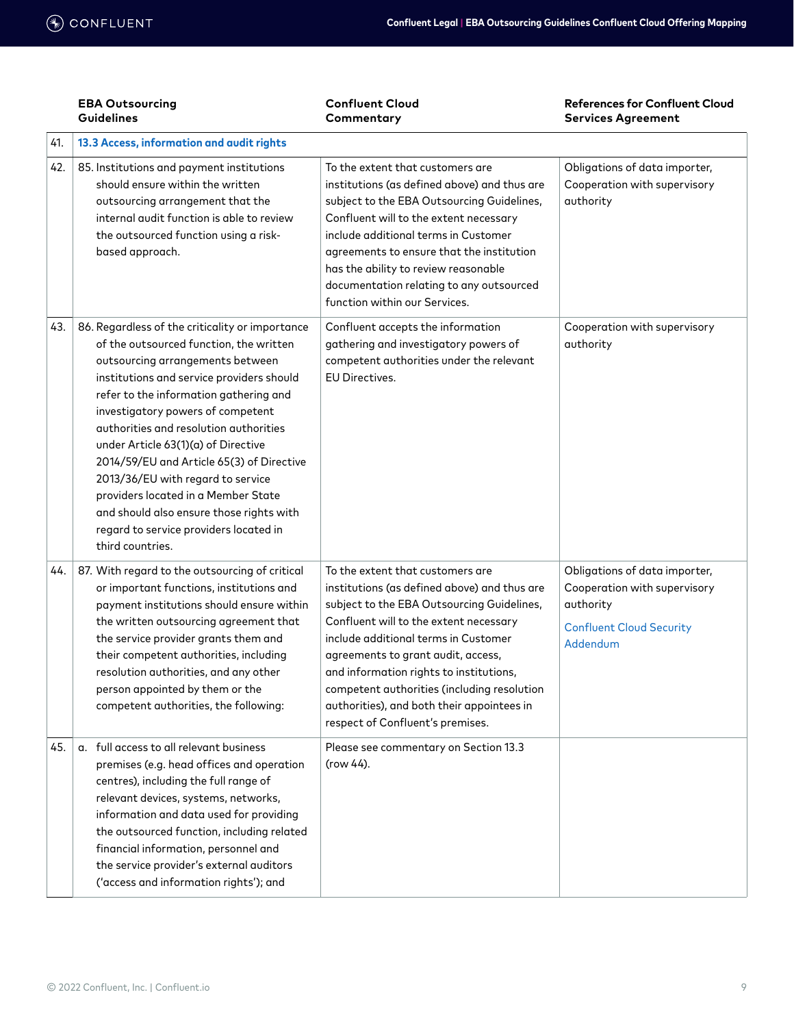|     | <b>EBA Outsourcing</b><br><b>Guidelines</b>                                                                                                                                                                                                                                                                                                                                                                                                                                                                                                                                    | <b>Confluent Cloud</b><br>Commentary                                                                                                                                                                                                                                                                                                                                                                                               | <b>References for Confluent Cloud</b><br><b>Services Agreement</b>                                                        |
|-----|--------------------------------------------------------------------------------------------------------------------------------------------------------------------------------------------------------------------------------------------------------------------------------------------------------------------------------------------------------------------------------------------------------------------------------------------------------------------------------------------------------------------------------------------------------------------------------|------------------------------------------------------------------------------------------------------------------------------------------------------------------------------------------------------------------------------------------------------------------------------------------------------------------------------------------------------------------------------------------------------------------------------------|---------------------------------------------------------------------------------------------------------------------------|
| 41. | 13.3 Access, information and audit rights                                                                                                                                                                                                                                                                                                                                                                                                                                                                                                                                      |                                                                                                                                                                                                                                                                                                                                                                                                                                    |                                                                                                                           |
| 42. | 85. Institutions and payment institutions<br>should ensure within the written<br>outsourcing arrangement that the<br>internal audit function is able to review<br>the outsourced function using a risk-<br>based approach.                                                                                                                                                                                                                                                                                                                                                     | To the extent that customers are<br>institutions (as defined above) and thus are<br>subject to the EBA Outsourcing Guidelines,<br>Confluent will to the extent necessary<br>include additional terms in Customer<br>agreements to ensure that the institution<br>has the ability to review reasonable<br>documentation relating to any outsourced<br>function within our Services.                                                 | Obligations of data importer,<br>Cooperation with supervisory<br>authority                                                |
| 43. | 86. Regardless of the criticality or importance<br>of the outsourced function, the written<br>outsourcing arrangements between<br>institutions and service providers should<br>refer to the information gathering and<br>investigatory powers of competent<br>authorities and resolution authorities<br>under Article 63(1)(a) of Directive<br>2014/59/EU and Article 65(3) of Directive<br>2013/36/EU with regard to service<br>providers located in a Member State<br>and should also ensure those rights with<br>regard to service providers located in<br>third countries. | Confluent accepts the information<br>gathering and investigatory powers of<br>competent authorities under the relevant<br>EU Directives.                                                                                                                                                                                                                                                                                           | Cooperation with supervisory<br>authority                                                                                 |
| 44. | 87. With regard to the outsourcing of critical<br>or important functions, institutions and<br>payment institutions should ensure within<br>the written outsourcing agreement that<br>the service provider grants them and<br>their competent authorities, including<br>resolution authorities, and any other<br>person appointed by them or the<br>competent authorities, the following:                                                                                                                                                                                       | To the extent that customers are<br>institutions (as defined above) and thus are<br>subject to the EBA Outsourcing Guidelines,<br>Confluent will to the extent necessary<br>include additional terms in Customer<br>agreements to grant audit, access,<br>and information rights to institutions,<br>competent authorities (including resolution<br>authorities), and both their appointees in<br>respect of Confluent's premises. | Obligations of data importer,<br>Cooperation with supervisory<br>authority<br><b>Confluent Cloud Security</b><br>Addendum |
| 45. | a. full access to all relevant business<br>premises (e.g. head offices and operation<br>centres), including the full range of<br>relevant devices, systems, networks,<br>information and data used for providing<br>the outsourced function, including related<br>financial information, personnel and<br>the service provider's external auditors<br>('access and information rights'); and                                                                                                                                                                                   | Please see commentary on Section 13.3<br>(row 44).                                                                                                                                                                                                                                                                                                                                                                                 |                                                                                                                           |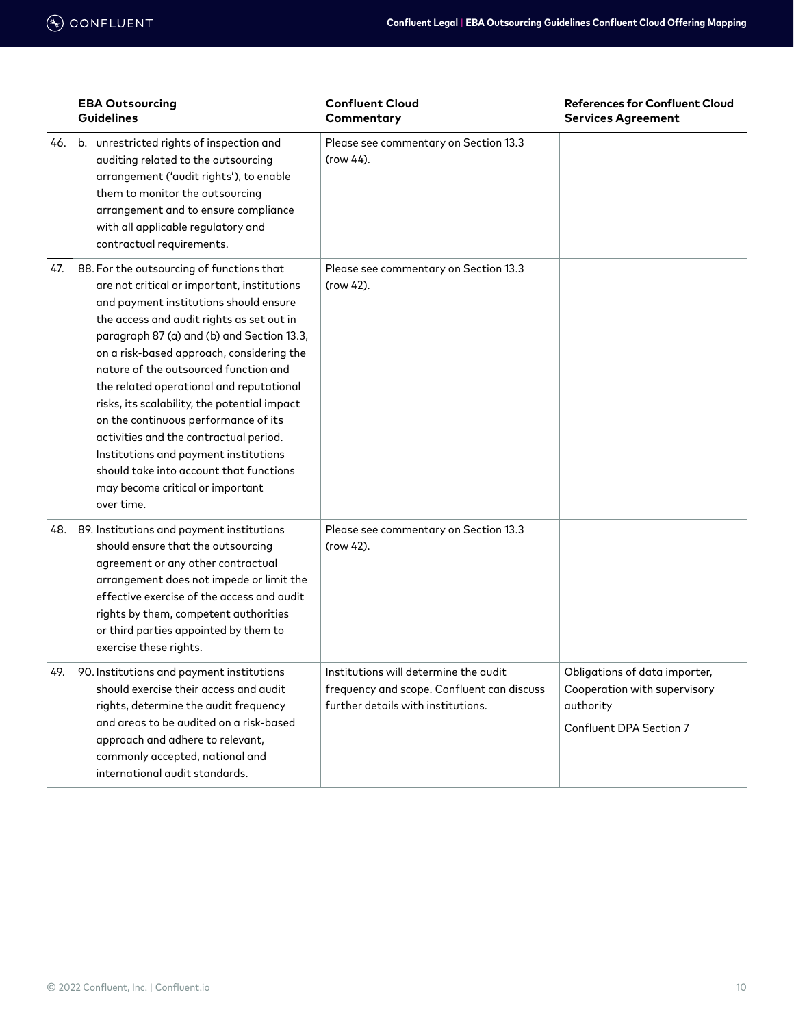|     | <b>EBA Outsourcing</b><br><b>Guidelines</b>                                                                                                                                                                                                                                                                                                                                                                                                                                                                                                                                                                                             | <b>Confluent Cloud</b><br>Commentary                                                                                      | <b>References for Confluent Cloud</b><br><b>Services Agreement</b>                                    |
|-----|-----------------------------------------------------------------------------------------------------------------------------------------------------------------------------------------------------------------------------------------------------------------------------------------------------------------------------------------------------------------------------------------------------------------------------------------------------------------------------------------------------------------------------------------------------------------------------------------------------------------------------------------|---------------------------------------------------------------------------------------------------------------------------|-------------------------------------------------------------------------------------------------------|
| 46. | b. unrestricted rights of inspection and<br>auditing related to the outsourcing<br>arrangement ('audit rights'), to enable<br>them to monitor the outsourcing<br>arrangement and to ensure compliance<br>with all applicable regulatory and<br>contractual requirements.                                                                                                                                                                                                                                                                                                                                                                | Please see commentary on Section 13.3<br>(row 44).                                                                        |                                                                                                       |
| 47. | 88. For the outsourcing of functions that<br>are not critical or important, institutions<br>and payment institutions should ensure<br>the access and audit rights as set out in<br>paragraph 87 (a) and (b) and Section 13.3,<br>on a risk-based approach, considering the<br>nature of the outsourced function and<br>the related operational and reputational<br>risks, its scalability, the potential impact<br>on the continuous performance of its<br>activities and the contractual period.<br>Institutions and payment institutions<br>should take into account that functions<br>may become critical or important<br>over time. | Please see commentary on Section 13.3<br>(row 42).                                                                        |                                                                                                       |
| 48. | 89. Institutions and payment institutions<br>should ensure that the outsourcing<br>agreement or any other contractual<br>arrangement does not impede or limit the<br>effective exercise of the access and audit<br>rights by them, competent authorities<br>or third parties appointed by them to<br>exercise these rights.                                                                                                                                                                                                                                                                                                             | Please see commentary on Section 13.3<br>(row 42).                                                                        |                                                                                                       |
| 49. | 90. Institutions and payment institutions<br>should exercise their access and audit<br>rights, determine the audit frequency<br>and areas to be audited on a risk-based<br>approach and adhere to relevant,<br>commonly accepted, national and<br>international audit standards.                                                                                                                                                                                                                                                                                                                                                        | Institutions will determine the audit<br>frequency and scope. Confluent can discuss<br>further details with institutions. | Obligations of data importer,<br>Cooperation with supervisory<br>authority<br>Confluent DPA Section 7 |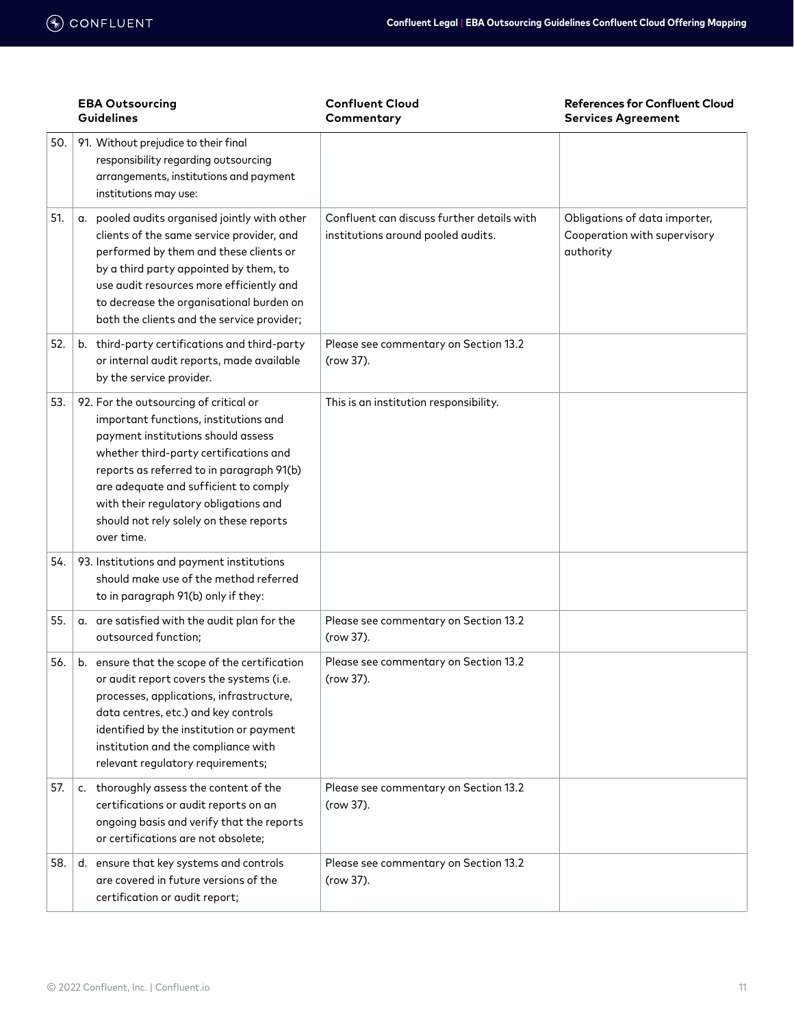|     | <b>EBA Outsourcing</b><br><b>Guidelines</b>                                                                                                                                                                                                                                                                                                             | <b>Confluent Cloud</b><br>Commentary                                             | <b>References for Confluent Cloud</b><br><b>Services Agreement</b>         |
|-----|---------------------------------------------------------------------------------------------------------------------------------------------------------------------------------------------------------------------------------------------------------------------------------------------------------------------------------------------------------|----------------------------------------------------------------------------------|----------------------------------------------------------------------------|
| 50. | 91. Without prejudice to their final<br>responsibility regarding outsourcing<br>arrangements, institutions and payment<br>institutions may use:                                                                                                                                                                                                         |                                                                                  |                                                                            |
| 51. | a. pooled audits organised jointly with other<br>clients of the same service provider, and<br>performed by them and these clients or<br>by a third party appointed by them, to<br>use audit resources more efficiently and<br>to decrease the organisational burden on<br>both the clients and the service provider;                                    | Confluent can discuss further details with<br>institutions around pooled audits. | Obligations of data importer,<br>Cooperation with supervisory<br>authority |
| 52. | b. third-party certifications and third-party<br>or internal audit reports, made available<br>by the service provider.                                                                                                                                                                                                                                  | Please see commentary on Section 13.2<br>(row 37).                               |                                                                            |
| 53. | 92. For the outsourcing of critical or<br>important functions, institutions and<br>payment institutions should assess<br>whether third-party certifications and<br>reports as referred to in paragraph 91(b)<br>are adequate and sufficient to comply<br>with their regulatory obligations and<br>should not rely solely on these reports<br>over time. | This is an institution responsibility.                                           |                                                                            |
| 54. | 93. Institutions and payment institutions<br>should make use of the method referred<br>to in paragraph 91(b) only if they:                                                                                                                                                                                                                              |                                                                                  |                                                                            |
| 55. | a. are satisfied with the audit plan for the<br>outsourced function;                                                                                                                                                                                                                                                                                    | Please see commentary on Section 13.2<br>(row 37).                               |                                                                            |
| 56. | b. ensure that the scope of the certification<br>or audit report covers the systems (i.e.<br>processes, applications, infrastructure,<br>data centres, etc.) and key controls<br>identified by the institution or payment<br>institution and the compliance with<br>relevant regulatory requirements;                                                   | Please see commentary on Section 13.2<br>(row 37).                               |                                                                            |
| 57. | c. thoroughly assess the content of the<br>certifications or audit reports on an<br>ongoing basis and verify that the reports<br>or certifications are not obsolete;                                                                                                                                                                                    | Please see commentary on Section 13.2<br>(row 37).                               |                                                                            |
| 58. | d. ensure that key systems and controls<br>are covered in future versions of the<br>certification or audit report;                                                                                                                                                                                                                                      | Please see commentary on Section 13.2<br>(row 37).                               |                                                                            |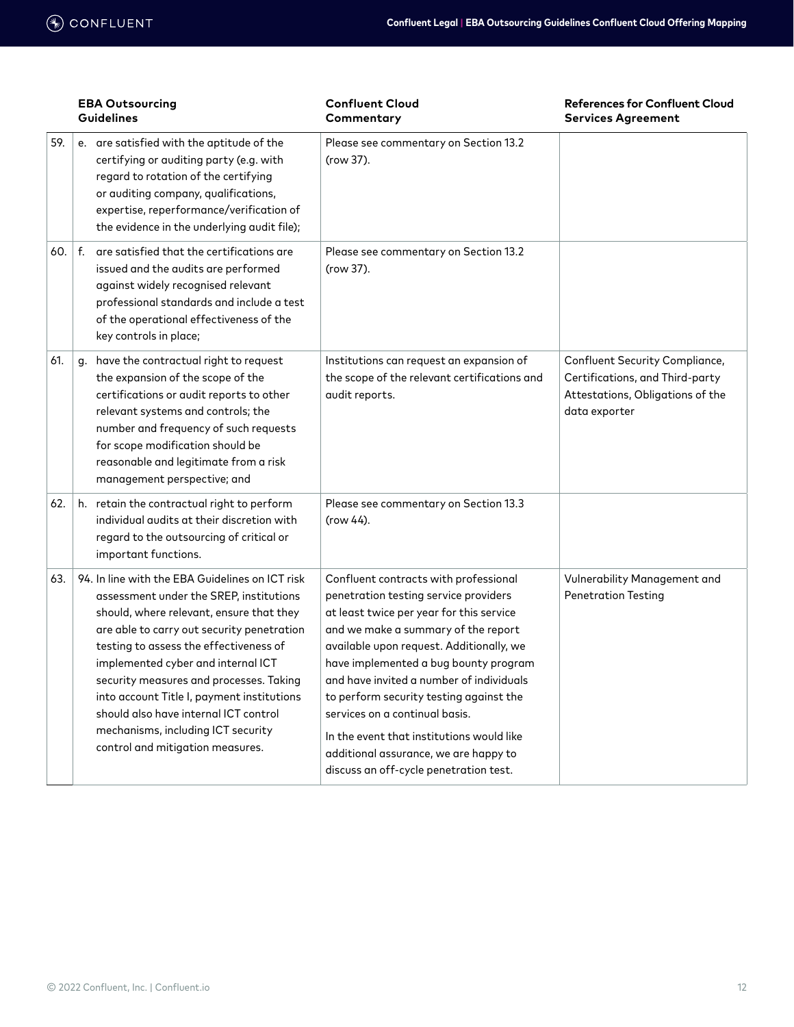|     | <b>EBA Outsourcing</b><br><b>Guidelines</b>                                                                                                                                                                                                                                                                                                                                                                                                                                      | <b>Confluent Cloud</b><br>Commentary                                                                                                                                                                                                                                                                                                                                                                                                                                                                            | <b>References for Confluent Cloud</b><br><b>Services Agreement</b>                                                     |
|-----|----------------------------------------------------------------------------------------------------------------------------------------------------------------------------------------------------------------------------------------------------------------------------------------------------------------------------------------------------------------------------------------------------------------------------------------------------------------------------------|-----------------------------------------------------------------------------------------------------------------------------------------------------------------------------------------------------------------------------------------------------------------------------------------------------------------------------------------------------------------------------------------------------------------------------------------------------------------------------------------------------------------|------------------------------------------------------------------------------------------------------------------------|
| 59. | e. are satisfied with the aptitude of the<br>certifying or auditing party (e.g. with<br>regard to rotation of the certifying<br>or auditing company, qualifications,<br>expertise, reperformance/verification of<br>the evidence in the underlying audit file);                                                                                                                                                                                                                  | Please see commentary on Section 13.2<br>(row 37).                                                                                                                                                                                                                                                                                                                                                                                                                                                              |                                                                                                                        |
| 60. | are satisfied that the certifications are<br>$f_{\cdot}$<br>issued and the audits are performed<br>against widely recognised relevant<br>professional standards and include a test<br>of the operational effectiveness of the<br>key controls in place;                                                                                                                                                                                                                          | Please see commentary on Section 13.2<br>(row 37).                                                                                                                                                                                                                                                                                                                                                                                                                                                              |                                                                                                                        |
| 61. | g. have the contractual right to request<br>the expansion of the scope of the<br>certifications or audit reports to other<br>relevant systems and controls; the<br>number and frequency of such requests<br>for scope modification should be<br>reasonable and legitimate from a risk<br>management perspective; and                                                                                                                                                             | Institutions can request an expansion of<br>the scope of the relevant certifications and<br>audit reports.                                                                                                                                                                                                                                                                                                                                                                                                      | Confluent Security Compliance,<br>Certifications, and Third-party<br>Attestations, Obligations of the<br>data exporter |
| 62. | h. retain the contractual right to perform<br>individual audits at their discretion with<br>regard to the outsourcing of critical or<br>important functions.                                                                                                                                                                                                                                                                                                                     | Please see commentary on Section 13.3<br>(row 44).                                                                                                                                                                                                                                                                                                                                                                                                                                                              |                                                                                                                        |
| 63. | 94. In line with the EBA Guidelines on ICT risk<br>assessment under the SREP, institutions<br>should, where relevant, ensure that they<br>are able to carry out security penetration<br>testing to assess the effectiveness of<br>implemented cyber and internal ICT<br>security measures and processes. Taking<br>into account Title I, payment institutions<br>should also have internal ICT control<br>mechanisms, including ICT security<br>control and mitigation measures. | Confluent contracts with professional<br>penetration testing service providers<br>at least twice per year for this service<br>and we make a summary of the report<br>available upon request. Additionally, we<br>have implemented a bug bounty program<br>and have invited a number of individuals<br>to perform security testing against the<br>services on a continual basis.<br>In the event that institutions would like<br>additional assurance, we are happy to<br>discuss an off-cycle penetration test. | Vulnerability Management and<br><b>Penetration Testing</b>                                                             |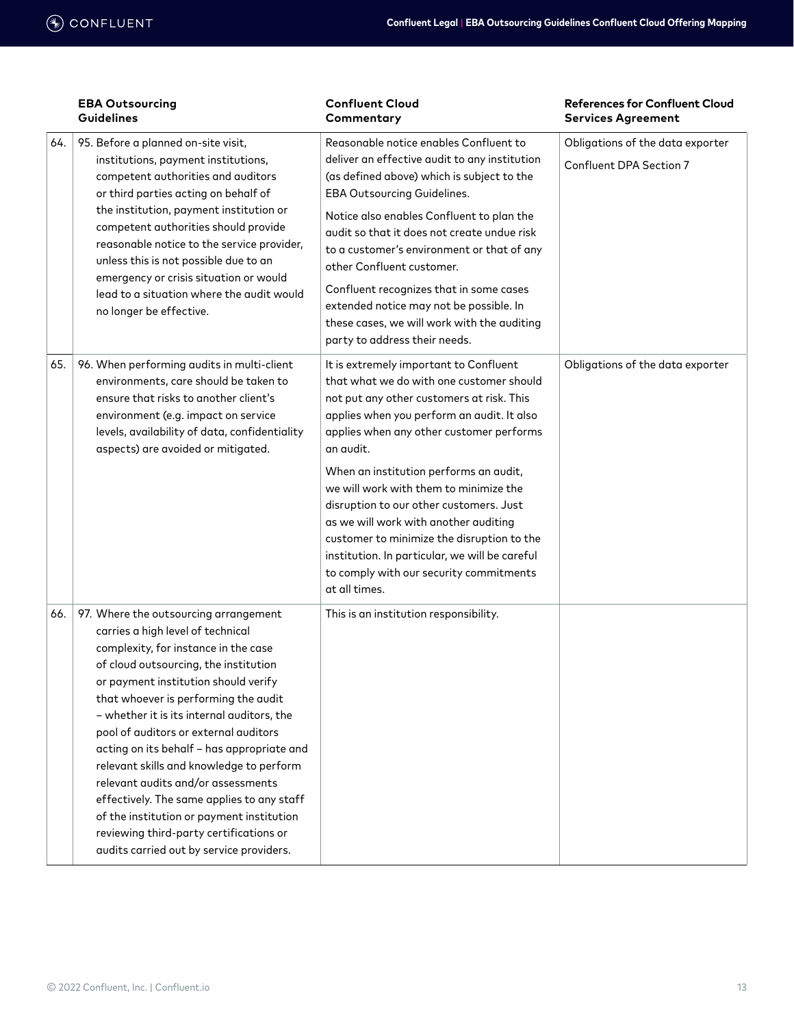|     | <b>EBA Outsourcing</b><br><b>Guidelines</b>                                                                                                                                                                                                                                                                                                                                                                                                                                                                                                                                                                                                          | <b>Confluent Cloud</b><br>Commentary                                                                                                                                                                                                                                                                                                                                                                                                                                                                                                                                       | <b>References for Confluent Cloud</b><br><b>Services Agreement</b> |
|-----|------------------------------------------------------------------------------------------------------------------------------------------------------------------------------------------------------------------------------------------------------------------------------------------------------------------------------------------------------------------------------------------------------------------------------------------------------------------------------------------------------------------------------------------------------------------------------------------------------------------------------------------------------|----------------------------------------------------------------------------------------------------------------------------------------------------------------------------------------------------------------------------------------------------------------------------------------------------------------------------------------------------------------------------------------------------------------------------------------------------------------------------------------------------------------------------------------------------------------------------|--------------------------------------------------------------------|
| 64. | 95. Before a planned on-site visit,<br>institutions, payment institutions,<br>competent authorities and auditors<br>or third parties acting on behalf of<br>the institution, payment institution or<br>competent authorities should provide<br>reasonable notice to the service provider,<br>unless this is not possible due to an<br>emergency or crisis situation or would<br>lead to a situation where the audit would<br>no longer be effective.                                                                                                                                                                                                 | Reasonable notice enables Confluent to<br>deliver an effective audit to any institution<br>(as defined above) which is subject to the<br><b>EBA Outsourcing Guidelines.</b><br>Notice also enables Confluent to plan the<br>audit so that it does not create undue risk<br>to a customer's environment or that of any<br>other Confluent customer.<br>Confluent recognizes that in some cases<br>extended notice may not be possible. In<br>these cases, we will work with the auditing<br>party to address their needs.                                                   | Obligations of the data exporter<br>Confluent DPA Section 7        |
| 65. | 96. When performing audits in multi-client<br>environments, care should be taken to<br>ensure that risks to another client's<br>environment (e.g. impact on service<br>levels, availability of data, confidentiality<br>aspects) are avoided or mitigated.                                                                                                                                                                                                                                                                                                                                                                                           | It is extremely important to Confluent<br>that what we do with one customer should<br>not put any other customers at risk. This<br>applies when you perform an audit. It also<br>applies when any other customer performs<br>an audit.<br>When an institution performs an audit,<br>we will work with them to minimize the<br>disruption to our other customers. Just<br>as we will work with another auditing<br>customer to minimize the disruption to the<br>institution. In particular, we will be careful<br>to comply with our security commitments<br>at all times. | Obligations of the data exporter                                   |
| 66. | 97. Where the outsourcing arrangement<br>carries a high level of technical<br>complexity, for instance in the case<br>of cloud outsourcing, the institution<br>or payment institution should verify<br>that whoever is performing the audit<br>- whether it is its internal auditors, the<br>pool of auditors or external auditors<br>acting on its behalf - has appropriate and<br>relevant skills and knowledge to perform<br>relevant audits and/or assessments<br>effectively. The same applies to any staff<br>of the institution or payment institution<br>reviewing third-party certifications or<br>audits carried out by service providers. | This is an institution responsibility.                                                                                                                                                                                                                                                                                                                                                                                                                                                                                                                                     |                                                                    |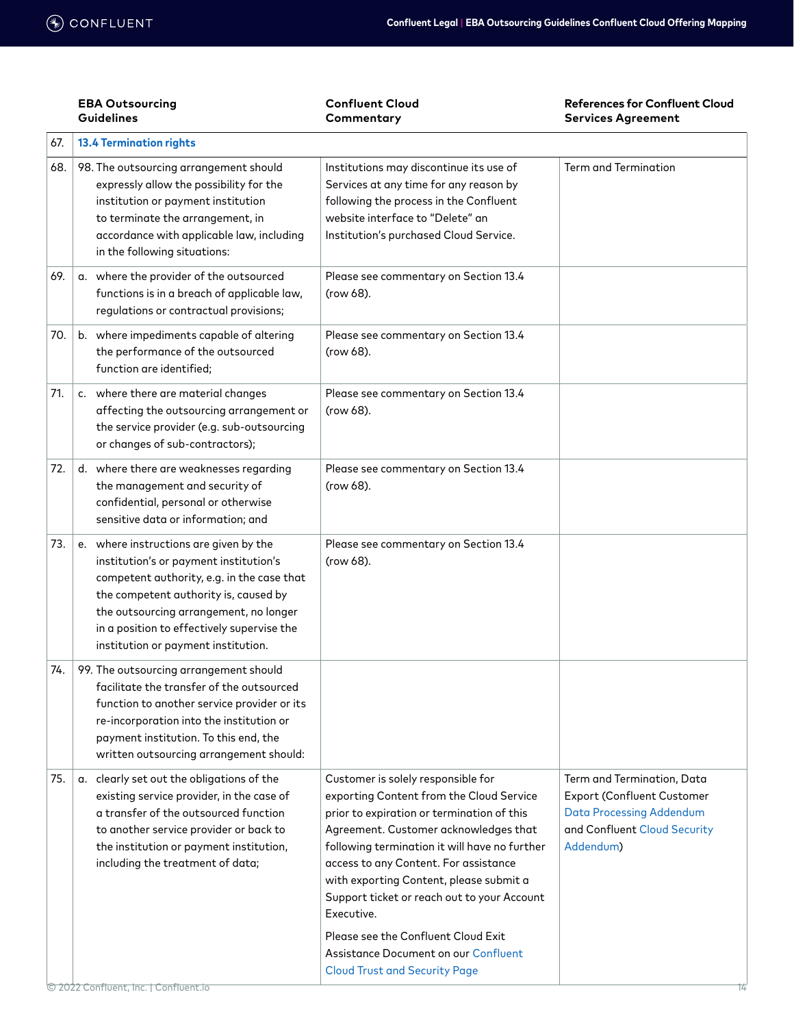|     | <b>EBA Outsourcing</b><br><b>Guidelines</b>                                                                                                                                                                                                                                                            | <b>Confluent Cloud</b><br>Commentary                                                                                                                                                                                                                                                                                                                                                                                                                                                           | <b>References for Confluent Cloud</b><br><b>Services Agreement</b>                                                                              |  |  |  |  |
|-----|--------------------------------------------------------------------------------------------------------------------------------------------------------------------------------------------------------------------------------------------------------------------------------------------------------|------------------------------------------------------------------------------------------------------------------------------------------------------------------------------------------------------------------------------------------------------------------------------------------------------------------------------------------------------------------------------------------------------------------------------------------------------------------------------------------------|-------------------------------------------------------------------------------------------------------------------------------------------------|--|--|--|--|
| 67. | <b>13.4 Termination rights</b>                                                                                                                                                                                                                                                                         |                                                                                                                                                                                                                                                                                                                                                                                                                                                                                                |                                                                                                                                                 |  |  |  |  |
| 68. | 98. The outsourcing arrangement should<br>expressly allow the possibility for the<br>institution or payment institution<br>to terminate the arrangement, in<br>accordance with applicable law, including<br>in the following situations:                                                               | Institutions may discontinue its use of<br>Services at any time for any reason by<br>following the process in the Confluent<br>website interface to "Delete" an<br>Institution's purchased Cloud Service.                                                                                                                                                                                                                                                                                      | <b>Term and Termination</b>                                                                                                                     |  |  |  |  |
| 69. | a. where the provider of the outsourced<br>functions is in a breach of applicable law,<br>regulations or contractual provisions;                                                                                                                                                                       | Please see commentary on Section 13.4<br>(row 68).                                                                                                                                                                                                                                                                                                                                                                                                                                             |                                                                                                                                                 |  |  |  |  |
| 70. | b. where impediments capable of altering<br>the performance of the outsourced<br>function are identified;                                                                                                                                                                                              | Please see commentary on Section 13.4<br>(row 68).                                                                                                                                                                                                                                                                                                                                                                                                                                             |                                                                                                                                                 |  |  |  |  |
| 71. | c. where there are material changes<br>affecting the outsourcing arrangement or<br>the service provider (e.g. sub-outsourcing<br>or changes of sub-contractors);                                                                                                                                       | Please see commentary on Section 13.4<br>(row 68).                                                                                                                                                                                                                                                                                                                                                                                                                                             |                                                                                                                                                 |  |  |  |  |
| 72. | d. where there are weaknesses regarding<br>the management and security of<br>confidential, personal or otherwise<br>sensitive data or information; and                                                                                                                                                 | Please see commentary on Section 13.4<br>(row 68).                                                                                                                                                                                                                                                                                                                                                                                                                                             |                                                                                                                                                 |  |  |  |  |
| 73. | e. where instructions are given by the<br>institution's or payment institution's<br>competent authority, e.g. in the case that<br>the competent authority is, caused by<br>the outsourcing arrangement, no longer<br>in a position to effectively supervise the<br>institution or payment institution. | Please see commentary on Section 13.4<br>(row 68).                                                                                                                                                                                                                                                                                                                                                                                                                                             |                                                                                                                                                 |  |  |  |  |
| 74. | 99. The outsourcing arrangement should<br>facilitate the transfer of the outsourced<br>function to another service provider or its<br>re-incorporation into the institution or<br>payment institution. To this end, the<br>written outsourcing arrangement should:                                     |                                                                                                                                                                                                                                                                                                                                                                                                                                                                                                |                                                                                                                                                 |  |  |  |  |
| 75. | a. clearly set out the obligations of the<br>existing service provider, in the case of<br>a transfer of the outsourced function<br>to another service provider or back to<br>the institution or payment institution,<br>including the treatment of data;<br>© 2022 Confluent, Inc.   Confluent.io      | Customer is solely responsible for<br>exporting Content from the Cloud Service<br>prior to expiration or termination of this<br>Agreement. Customer acknowledges that<br>following termination it will have no further<br>access to any Content. For assistance<br>with exporting Content, please submit a<br>Support ticket or reach out to your Account<br>Executive.<br>Please see the Confluent Cloud Exit<br>Assistance Document on our Confluent<br><b>Cloud Trust and Security Page</b> | Term and Termination, Data<br><b>Export (Confluent Customer</b><br><b>Data Processing Addendum</b><br>and Confluent Cloud Security<br>Addendum) |  |  |  |  |